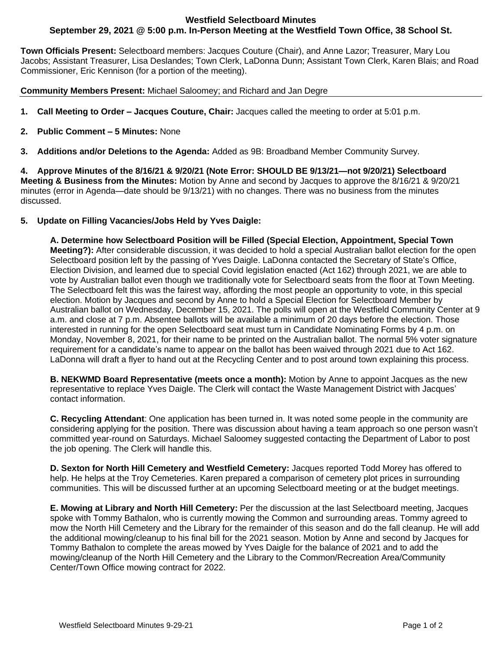## **Westfield Selectboard Minutes September 29, 2021 @ 5:00 p.m. In-Person Meeting at the Westfield Town Office, 38 School St.**

**Town Officials Present:** Selectboard members: Jacques Couture (Chair), and Anne Lazor; Treasurer, Mary Lou Jacobs; Assistant Treasurer, Lisa Deslandes; Town Clerk, LaDonna Dunn; Assistant Town Clerk, Karen Blais; and Road Commissioner, Eric Kennison (for a portion of the meeting).

**Community Members Present:** Michael Saloomey; and Richard and Jan Degre

- **1. Call Meeting to Order – Jacques Couture, Chair:** Jacques called the meeting to order at 5:01 p.m.
- **2. Public Comment – 5 Minutes:** None
- **3. Additions and/or Deletions to the Agenda:** Added as 9B: Broadband Member Community Survey.

**4. Approve Minutes of the 8/16/21 & 9/20/21 (Note Error: SHOULD BE 9/13/21—not 9/20/21) Selectboard Meeting & Business from the Minutes:** Motion by Anne and second by Jacques to approve the 8/16/21 & 9/20/21 minutes (error in Agenda—date should be 9/13/21) with no changes. There was no business from the minutes discussed.

## **5. Update on Filling Vacancies/Jobs Held by Yves Daigle:**

**A. Determine how Selectboard Position will be Filled (Special Election, Appointment, Special Town Meeting?):** After considerable discussion, it was decided to hold a special Australian ballot election for the open Selectboard position left by the passing of Yves Daigle. LaDonna contacted the Secretary of State's Office, Election Division, and learned due to special Covid legislation enacted (Act 162) through 2021, we are able to vote by Australian ballot even though we traditionally vote for Selectboard seats from the floor at Town Meeting. The Selectboard felt this was the fairest way, affording the most people an opportunity to vote, in this special election. Motion by Jacques and second by Anne to hold a Special Election for Selectboard Member by Australian ballot on Wednesday, December 15, 2021. The polls will open at the Westfield Community Center at 9 a.m. and close at 7 p.m. Absentee ballots will be available a minimum of 20 days before the election. Those interested in running for the open Selectboard seat must turn in Candidate Nominating Forms by 4 p.m. on Monday, November 8, 2021, for their name to be printed on the Australian ballot. The normal 5% voter signature requirement for a candidate's name to appear on the ballot has been waived through 2021 due to Act 162. LaDonna will draft a flyer to hand out at the Recycling Center and to post around town explaining this process.

**B. NEKWMD Board Representative (meets once a month):** Motion by Anne to appoint Jacques as the new representative to replace Yves Daigle. The Clerk will contact the Waste Management District with Jacques' contact information.

**C. Recycling Attendant**: One application has been turned in. It was noted some people in the community are considering applying for the position. There was discussion about having a team approach so one person wasn't committed year-round on Saturdays. Michael Saloomey suggested contacting the Department of Labor to post the job opening. The Clerk will handle this.

**D. Sexton for North Hill Cemetery and Westfield Cemetery:** Jacques reported Todd Morey has offered to help. He helps at the Troy Cemeteries. Karen prepared a comparison of cemetery plot prices in surrounding communities. This will be discussed further at an upcoming Selectboard meeting or at the budget meetings.

**E. Mowing at Library and North Hill Cemetery:** Per the discussion at the last Selectboard meeting, Jacques spoke with Tommy Bathalon, who is currently mowing the Common and surrounding areas. Tommy agreed to mow the North Hill Cemetery and the Library for the remainder of this season and do the fall cleanup. He will add the additional mowing/cleanup to his final bill for the 2021 season. Motion by Anne and second by Jacques for Tommy Bathalon to complete the areas mowed by Yves Daigle for the balance of 2021 and to add the mowing/cleanup of the North Hill Cemetery and the Library to the Common/Recreation Area/Community Center/Town Office mowing contract for 2022.